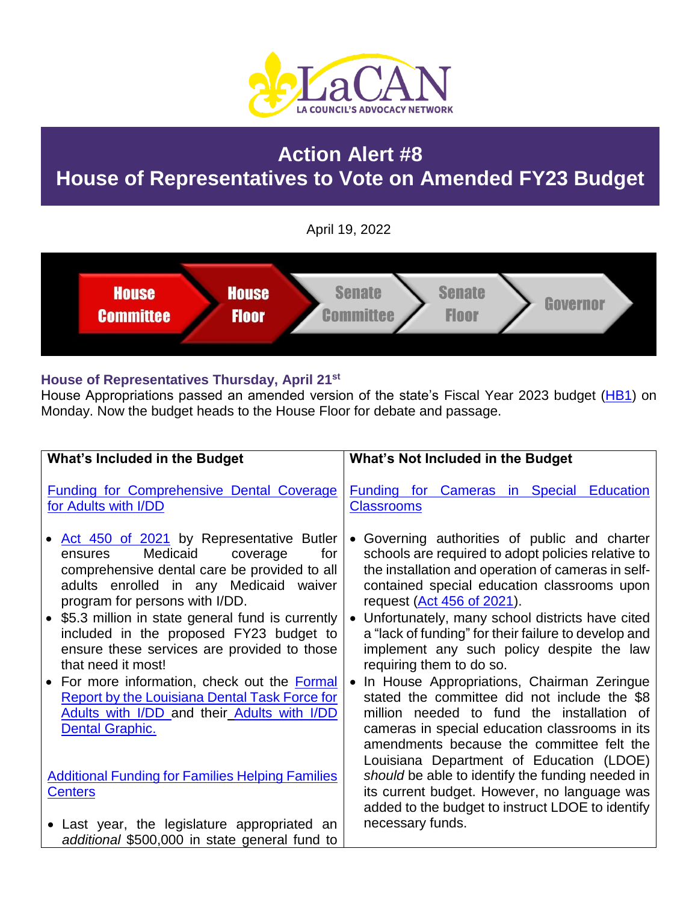

# **Action Alert #8 House of Representatives to Vote on Amended FY23 Budget**

April 19, 2022



#### **House of Representatives Thursday, April 21st**

House Appropriations passed an amended version of the state's Fiscal Year 2023 budget [\(HB1\)](https://www.legis.la.gov/legis/BillInfo.aspx?i=241980) on Monday. Now the budget heads to the House Floor for debate and passage.

| What's Included in the Budget                                                                                                                                                                                            | What's Not Included in the Budget                                                                                                                                                                                                                                                   |
|--------------------------------------------------------------------------------------------------------------------------------------------------------------------------------------------------------------------------|-------------------------------------------------------------------------------------------------------------------------------------------------------------------------------------------------------------------------------------------------------------------------------------|
| <b>Funding for Comprehensive Dental Coverage</b><br>for Adults with I/DD<br>Act 450 of 2021 by Representative Butler                                                                                                     | <b>Funding for Cameras in Special Education</b><br><b>Classrooms</b><br>• Governing authorities of public and charter                                                                                                                                                               |
| Medicaid<br>for<br>coverage<br>ensures<br>comprehensive dental care be provided to all<br>adults enrolled in any Medicaid waiver<br>program for persons with I/DD.<br>• \$5.3 million in state general fund is currently | schools are required to adopt policies relative to<br>the installation and operation of cameras in self-<br>contained special education classrooms upon<br>request (Act 456 of 2021).<br>• Unfortunately, many school districts have cited                                          |
| included in the proposed FY23 budget to<br>ensure these services are provided to those<br>that need it most!                                                                                                             | a "lack of funding" for their failure to develop and<br>implement any such policy despite the law<br>requiring them to do so.                                                                                                                                                       |
| • For more information, check out the Formal<br><b>Report by the Louisiana Dental Task Force for</b><br>Adults with I/DD and their Adults with I/DD<br><b>Dental Graphic.</b>                                            | In House Appropriations, Chairman Zeringue<br>stated the committee did not include the \$8<br>million needed to fund the installation of<br>cameras in special education classrooms in its<br>amendments because the committee felt the<br>Louisiana Department of Education (LDOE) |
| <b>Additional Funding for Families Helping Families</b><br><b>Centers</b>                                                                                                                                                | should be able to identify the funding needed in<br>its current budget. However, no language was<br>added to the budget to instruct LDOE to identify                                                                                                                                |
| • Last year, the legislature appropriated an<br>additional \$500,000 in state general fund to                                                                                                                            | necessary funds.                                                                                                                                                                                                                                                                    |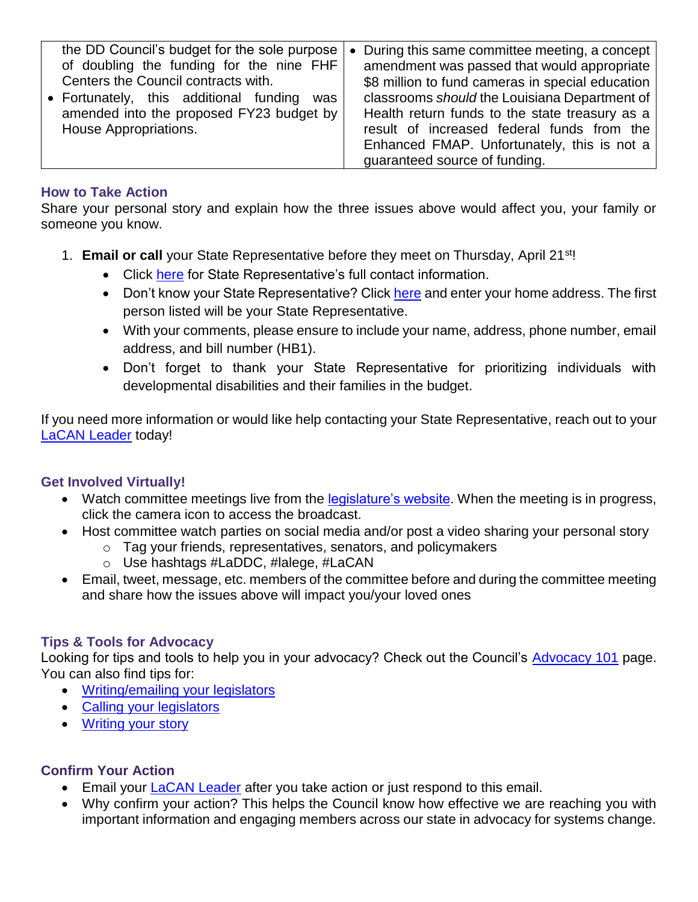| the DD Council's budget for the sole purpose<br>of doubling the funding for the nine FHF<br>Centers the Council contracts with.<br>• Fortunately, this additional funding<br>was<br>amended into the proposed FY23 budget by<br>House Appropriations. | During this same committee meeting, a concept<br>$\bullet$<br>amendment was passed that would appropriate<br>\$8 million to fund cameras in special education<br>classrooms should the Louisiana Department of<br>Health return funds to the state treasury as a<br>result of increased federal funds from the<br>Enhanced FMAP. Unfortunately, this is not a<br>guaranteed source of funding. |
|-------------------------------------------------------------------------------------------------------------------------------------------------------------------------------------------------------------------------------------------------------|------------------------------------------------------------------------------------------------------------------------------------------------------------------------------------------------------------------------------------------------------------------------------------------------------------------------------------------------------------------------------------------------|
|-------------------------------------------------------------------------------------------------------------------------------------------------------------------------------------------------------------------------------------------------------|------------------------------------------------------------------------------------------------------------------------------------------------------------------------------------------------------------------------------------------------------------------------------------------------------------------------------------------------------------------------------------------------|

#### **How to Take Action**

Share your personal story and explain how the three issues above would affect you, your family or someone you know.

- 1. **Email or call** your State Representative before they meet on Thursday, April 21st!
	- Click [here](https://house.louisiana.gov/H_Reps/H_Reps_FullInfo) for State Representative's full contact information.
	- Don't know your State Representative? Click [here](https://www.legis.la.gov/legis/FindMyLegislators.aspx) and enter your home address. The first person listed will be your State Representative.
	- With your comments, please ensure to include your name, address, phone number, email address, and bill number (HB1).
	- Don't forget to thank your State Representative for prioritizing individuals with developmental disabilities and their families in the budget.

If you need more information or would like help contacting your State Representative, reach out to your LaCAN [Leader](https://laddc.org/initiatives/community-living-and-self-determination/community-supports/current-initiatives/lacan/lacan-leaders/) today!

## **Get Involved Virtually!**

- Watch committee meetings live from the **legislature's website**. When the meeting is in progress, click the camera icon to access the broadcast.
- Host committee watch parties on social media and/or post a video sharing your personal story
	- o Tag your friends, representatives, senators, and policymakers
	- o Use hashtags #LaDDC, #lalege, #LaCAN
- Email, tweet, message, etc. members of the committee before and during the committee meeting and share how the issues above will impact you/your loved ones

## **Tips & Tools for Advocacy**

Looking for tips and tools to help you in your advocacy? Check out the Council's [Advocacy 101](https://laddc.org/initiatives/community-living-and-self-determination/quality-assurance/current-initiatives/advocacy-101/) page. You can also find tips for:

- [Writing/emailing your legislators](https://laddc.org/initiatives/community-living-and-self-determination/quality-assurance/current-initiatives/advocacy-101/how-to/writeemail-your-policymaker/)
- [Calling your legislators](https://laddc.org/initiatives/community-living-and-self-determination/quality-assurance/current-initiatives/advocacy-101/how-to/call-your-policymaker/)
- [Writing your story](https://laddc.org/initiatives/community-living-and-self-determination/quality-assurance/current-initiatives/advocacy-101/how-to/write-your-story/)

## **Confirm Your Action**

- Email your [LaCAN Leader](https://laddc.org/initiatives/community-living-and-self-determination/community-supports/current-initiatives/lacan/lacan-leaders/) after you take action or just respond to this email.
- Why confirm your action? This helps the Council know how effective we are reaching you with important information and engaging members across our state in advocacy for systems change.